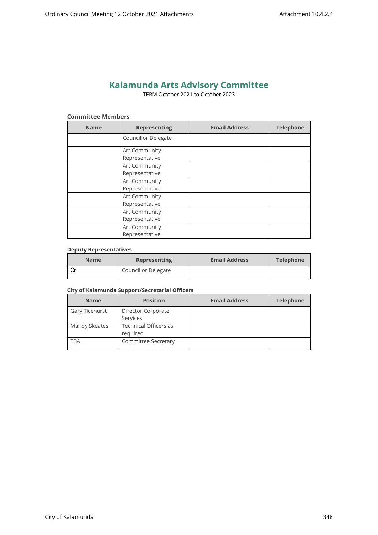# **Kalamunda Arts Advisory Committee**

TERM October 2021 to October 2023

## **Committee Members**

| <b>Name</b> | <b>Representing</b>             | <b>Email Address</b> | <b>Telephone</b> |
|-------------|---------------------------------|----------------------|------------------|
|             | <b>Councillor Delegate</b>      |                      |                  |
|             | Art Community<br>Representative |                      |                  |
|             | Art Community<br>Representative |                      |                  |
|             | Art Community<br>Representative |                      |                  |
|             | Art Community<br>Representative |                      |                  |
|             | Art Community<br>Representative |                      |                  |
|             | Art Community<br>Representative |                      |                  |

#### **Deputy Representatives**

| <b>Name</b> | <b>Representing</b>        | <b>Email Address</b> | <b>Telephone</b> |
|-------------|----------------------------|----------------------|------------------|
|             | <b>Councillor Delegate</b> |                      |                  |

#### **City of Kalamunda Support/Secretarial Officers**

| <b>Name</b>    | <b>Position</b>                   | <b>Email Address</b> | <b>Telephone</b> |
|----------------|-----------------------------------|----------------------|------------------|
| Gary Ticehurst | Director Corporate                |                      |                  |
|                | Services                          |                      |                  |
| Mandy Skeates  | Technical Officers as<br>reguired |                      |                  |
| TBA            | Committee Secretary               |                      |                  |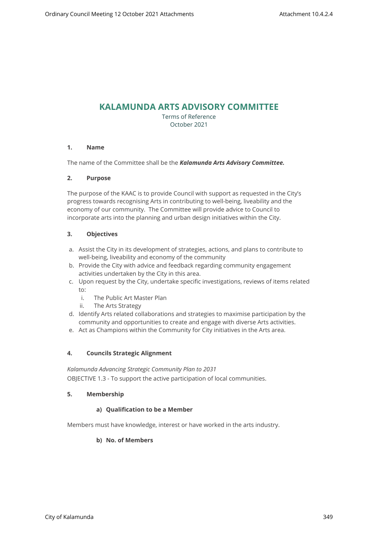## **KALAMUNDA ARTS ADVISORY COMMITTEE**

Terms of Reference October 2021

#### **1. Name**

The name of the Committee shall be the *Kalamunda Arts Advisory Committee.*

#### **2. Purpose**

The purpose of the KAAC is to provide Council with support as requested in the City's progress towards recognising Arts in contributing to well-being, liveability and the economy of our community. The Committee will provide advice to Council to incorporate arts into the planning and urban design initiatives within the City.

#### **3. Objectives**

- a. Assist the City in its development of strategies, actions, and plans to contribute to well-being, liveability and economy of the community
- b. Provide the City with advice and feedback regarding community engagement activities undertaken by the City in this area.
- c. Upon request by the City, undertake specific investigations, reviews of items related to:
	- i. The Public Art Master Plan
	- ii. The Arts Strategy
- d. Identify Arts related collaborations and strategies to maximise participation by the community and opportunities to create and engage with diverse Arts activities.
- e. Act as Champions within the Community for City initiatives in the Arts area.

#### **4. Councils Strategic Alignment**

*Kalamunda Advancing Strategic Community Plan to 2031*  OBJECTIVE 1.3 - To support the active participation of local communities.

#### **5. Membership**

#### **a) Qualification to be a Member**

Members must have knowledge, interest or have worked in the arts industry.

#### **b) No. of Members**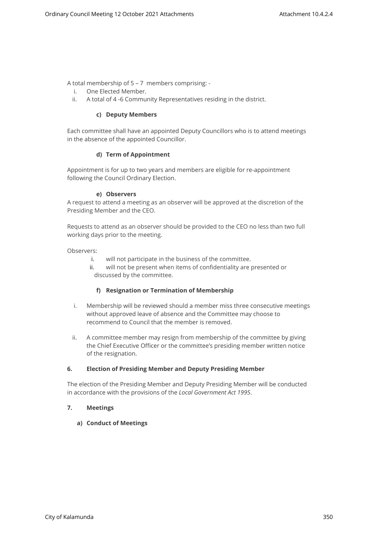A total membership of 5 – 7 members comprising: -

- i. One Elected Member.
- ii. A total of 4 -6 Community Representatives residing in the district.

#### **c) Deputy Members**

Each committee shall have an appointed Deputy Councillors who is to attend meetings in the absence of the appointed Councillor.

#### **d) Term of Appointment**

Appointment is for up to two years and members are eligible for re-appointment following the Council Ordinary Election.

#### **e) Observers**

A request to attend a meeting as an observer will be approved at the discretion of the Presiding Member and the CEO.

Requests to attend as an observer should be provided to the CEO no less than two full working days prior to the meeting.

Observers:

- i. will not participate in the business of the committee.
- ii. will not be present when items of confidentiality are presented or discussed by the committee.

#### **f) Resignation or Termination of Membership**

- i. Membership will be reviewed should a member miss three consecutive meetings without approved leave of absence and the Committee may choose to recommend to Council that the member is removed.
- ii. A committee member may resign from membership of the committee by giving the Chief Executive Officer or the committee's presiding member written notice of the resignation.

#### **6. Election of Presiding Member and Deputy Presiding Member**

The election of the Presiding Member and Deputy Presiding Member will be conducted in accordance with the provisions of the *Local Government Act 1995*.

#### **7. Meetings**

#### **a) Conduct of Meetings**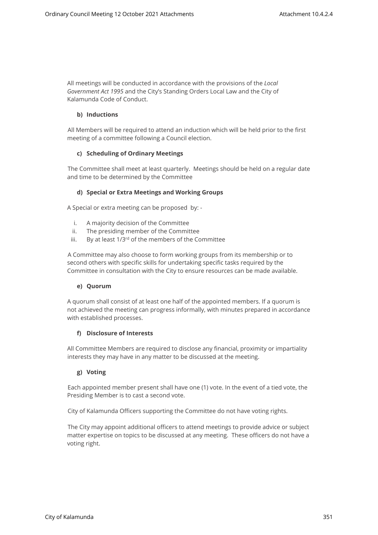All meetings will be conducted in accordance with the provisions of the *Local Government Act 1995* and the City's Standing Orders Local Law and the City of Kalamunda Code of Conduct.

## **b) Inductions**

All Members will be required to attend an induction which will be held prior to the first meeting of a committee following a Council election.

## **c) Scheduling of Ordinary Meetings**

The Committee shall meet at least quarterly. Meetings should be held on a regular date and time to be determined by the Committee

## **d) Special or Extra Meetings and Working Groups**

A Special or extra meeting can be proposed by: -

- i. A majority decision of the Committee
- ii. The presiding member of the Committee
- iii. By at least  $1/3^{rd}$  of the members of the Committee

A Committee may also choose to form working groups from its membership or to second others with specific skills for undertaking specific tasks required by the Committee in consultation with the City to ensure resources can be made available.

#### **e) Quorum**

A quorum shall consist of at least one half of the appointed members. If a quorum is not achieved the meeting can progress informally, with minutes prepared in accordance with established processes.

#### **f) Disclosure of Interests**

All Committee Members are required to disclose any financial, proximity or impartiality interests they may have in any matter to be discussed at the meeting.

## **g) Voting**

Each appointed member present shall have one (1) vote. In the event of a tied vote, the Presiding Member is to cast a second vote.

City of Kalamunda Officers supporting the Committee do not have voting rights.

The City may appoint additional officers to attend meetings to provide advice or subject matter expertise on topics to be discussed at any meeting. These officers do not have a voting right.